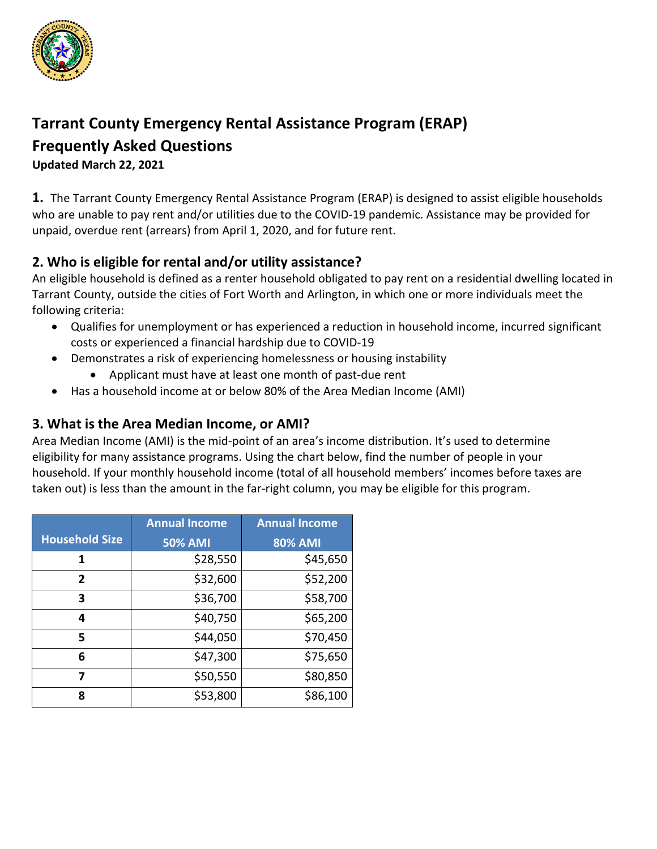

# **Tarrant County Emergency Rental Assistance Program (ERAP)**

## **Frequently Asked Questions**

**Updated March 22, 2021**

**1.** The Tarrant County Emergency Rental Assistance Program (ERAP) is designed to assist eligible households who are unable to pay rent and/or utilities due to the COVID-19 pandemic. Assistance may be provided for unpaid, overdue rent (arrears) from April 1, 2020, and for future rent.

## **2. Who is eligible for rental and/or utility assistance?**

An eligible household is defined as a renter household obligated to pay rent on a residential dwelling located in Tarrant County, outside the cities of Fort Worth and Arlington, in which one or more individuals meet the following criteria:

- Qualifies for unemployment or has experienced a reduction in household income, incurred significant costs or experienced a financial hardship due to COVID-19
- Demonstrates a risk of experiencing homelessness or housing instability
	- Applicant must have at least one month of past-due rent
- Has a household income at or below 80% of the Area Median Income (AMI)

#### **3. What is the Area Median Income, or AMI?**

Area Median Income (AMI) is the mid-point of an area's income distribution. It's used to determine eligibility for many assistance programs. Using the chart below, find the number of people in your household. If your monthly household income (total of all household members' incomes before taxes are taken out) is less than the amount in the far-right column, you may be eligible for this program.

|                       | <b>Annual Income</b> | <b>Annual Income</b> |
|-----------------------|----------------------|----------------------|
| <b>Household Size</b> | <b>50% AMI</b>       | <b>80% AMI</b>       |
| 1                     | \$28,550             | \$45,650             |
| 2                     | \$32,600             | \$52,200             |
| 3                     | \$36,700             | \$58,700             |
| 4                     | \$40,750             | \$65,200             |
| 5                     | \$44,050             | \$70,450             |
| 6                     | \$47,300             | \$75,650             |
| 7                     | \$50,550             | \$80,850             |
| 8                     | \$53,800             | \$86,100             |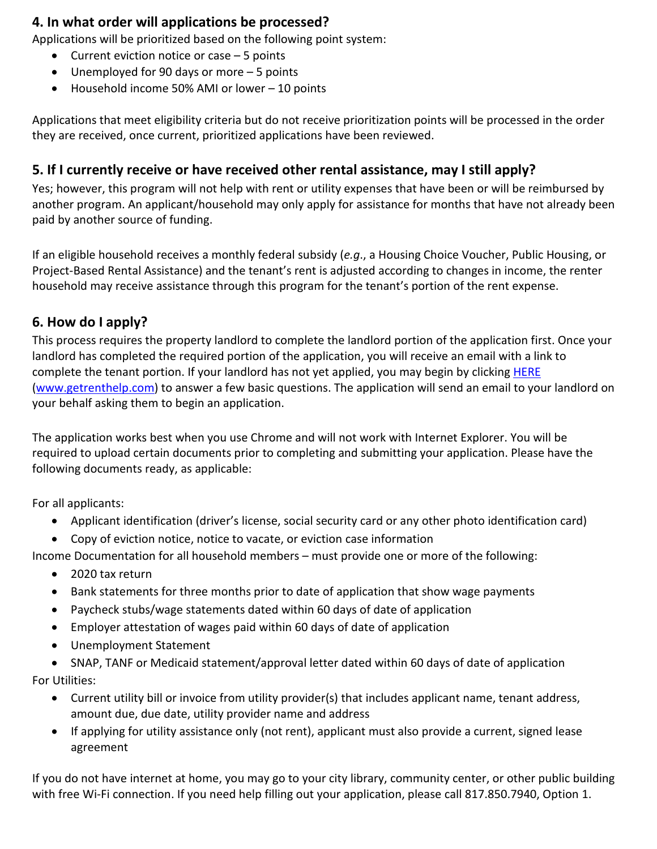#### **4. In what order will applications be processed?**

Applications will be prioritized based on the following point system:

- Current eviction notice or case 5 points
- Unemployed for 90 days or more 5 points
- Household income 50% AMI or lower 10 points

Applications that meet eligibility criteria but do not receive prioritization points will be processed in the order they are received, once current, prioritized applications have been reviewed.

### **5. If I currently receive or have received other rental assistance, may I still apply?**

Yes; however, this program will not help with rent or utility expenses that have been or will be reimbursed by another program. An applicant/household may only apply for assistance for months that have not already been paid by another source of funding.

If an eligible household receives a monthly federal subsidy (*e.g*., a Housing Choice Voucher, Public Housing, or Project-Based Rental Assistance) and the tenant's rent is adjusted according to changes in income, the renter household may receive assistance through this program for the tenant's portion of the rent expense.

### **6. How do I apply?**

This process requires the property landlord to complete the landlord portion of the application first. Once your landlord has completed the required portion of the application, you will receive an email with a link to complete the tenant portion. If your landlord has not yet applied, you may begin by clicking [HERE](http://www.getrenthelp.com/) [\(www.getrenthelp.com\)](http://www.getrenthelp.com/) to answer a few basic questions. The application will send an email to your landlord on your behalf asking them to begin an application.

The application works best when you use Chrome and will not work with Internet Explorer. You will be required to upload certain documents prior to completing and submitting your application. Please have the following documents ready, as applicable:

For all applicants:

- Applicant identification (driver's license, social security card or any other photo identification card)
- Copy of eviction notice, notice to vacate, or eviction case information

Income Documentation for all household members – must provide one or more of the following:

- 2020 tax return
- Bank statements for three months prior to date of application that show wage payments
- Paycheck stubs/wage statements dated within 60 days of date of application
- Employer attestation of wages paid within 60 days of date of application
- Unemployment Statement

• SNAP, TANF or Medicaid statement/approval letter dated within 60 days of date of application For Utilities:

- Current utility bill or invoice from utility provider(s) that includes applicant name, tenant address, amount due, due date, utility provider name and address
- If applying for utility assistance only (not rent), applicant must also provide a current, signed lease agreement

If you do not have internet at home, you may go to your city library, community center, or other public building with free Wi-Fi connection. If you need help filling out your application, please call 817.850.7940, Option 1.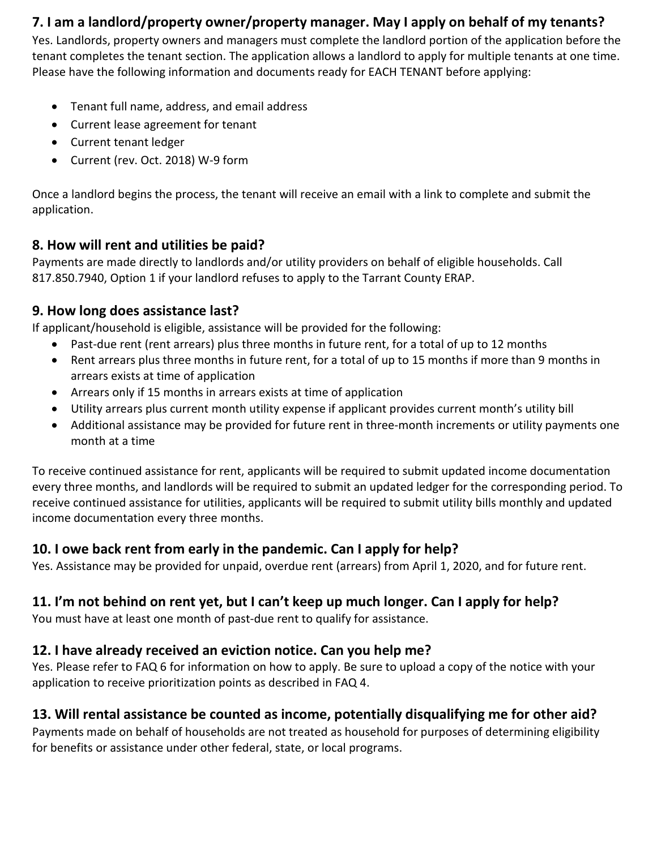## **7. I am a landlord/property owner/property manager. May I apply on behalf of my tenants?**

Yes. Landlords, property owners and managers must complete the landlord portion of the application before the tenant completes the tenant section. The application allows a landlord to apply for multiple tenants at one time. Please have the following information and documents ready for EACH TENANT before applying:

- Tenant full name, address, and email address
- Current lease agreement for tenant
- Current tenant ledger
- Current (rev. Oct. 2018) W-9 form

Once a landlord begins the process, the tenant will receive an email with a link to complete and submit the application.

## **8. How will rent and utilities be paid?**

Payments are made directly to landlords and/or utility providers on behalf of eligible households. Call 817.850.7940, Option 1 if your landlord refuses to apply to the Tarrant County ERAP.

### **9. How long does assistance last?**

If applicant/household is eligible, assistance will be provided for the following:

- Past-due rent (rent arrears) plus three months in future rent, for a total of up to 12 months
- Rent arrears plus three months in future rent, for a total of up to 15 months if more than 9 months in arrears exists at time of application
- Arrears only if 15 months in arrears exists at time of application
- Utility arrears plus current month utility expense if applicant provides current month's utility bill
- Additional assistance may be provided for future rent in three-month increments or utility payments one month at a time

To receive continued assistance for rent, applicants will be required to submit updated income documentation every three months, and landlords will be required to submit an updated ledger for the corresponding period. To receive continued assistance for utilities, applicants will be required to submit utility bills monthly and updated income documentation every three months.

## **10. I owe back rent from early in the pandemic. Can I apply for help?**

Yes. Assistance may be provided for unpaid, overdue rent (arrears) from April 1, 2020, and for future rent.

## **11. I'm not behind on rent yet, but I can't keep up much longer. Can I apply for help?**

You must have at least one month of past-due rent to qualify for assistance.

# **12. I have already received an eviction notice. Can you help me?**

Yes. Please refer to FAQ 6 for information on how to apply. Be sure to upload a copy of the notice with your application to receive prioritization points as described in FAQ 4.

# **13. Will rental assistance be counted as income, potentially disqualifying me for other aid?**

Payments made on behalf of households are not treated as household for purposes of determining eligibility for benefits or assistance under other federal, state, or local programs.